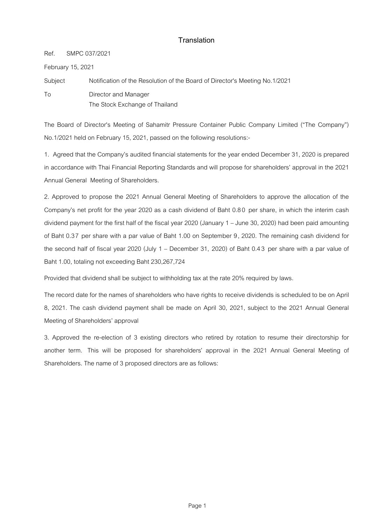## **Translation**

Ref. SMPC 037/2021

February 15, 2021

Subject Notification of the Resolution of the Board of Director's Meeting No.1/2021

To Director and Manager The Stock Exchange of Thailand

The Board of Director's Meeting of Sahamitr Pressure Container Public Company Limited ("The Company") No.1/2021 held on February 15, 2021, passed on the following resolutions:-

1. Agreed that the Company's audited financial statements for the year ended December 31, 2020 is prepared in accordance with Thai Financial Reporting Standards and will propose for shareholders' approval in the 2021 Annual General Meeting of Shareholders.

2. Approved to propose the 2021 Annual General Meeting of Shareholders to approve the allocation of the Company's net profit for the year 2020 as a cash dividend of Baht 0.8 0 per share, in which the interim cash dividend payment for the first half of the fiscal year 2020 (January 1 – June 30, 2020) had been paid amounting of Baht 0.37 per share with a par value of Baht 1.00 on September 9, 2020. The remaining cash dividend for the second half of fiscal year 2020 (July 1 – December 31, 2020) of Baht 0.4 3 per share with a par value of Baht 1.00, totaling not exceeding Baht 230,267,724

Provided that dividend shall be subject to withholding tax at the rate 20% required by laws.

The record date for the names of shareholders who have rights to receive dividends is scheduled to be on April 8, 2021. The cash dividend payment shall be made on April 30, 2021, subject to the 2021 Annual General Meeting of Shareholders' approval

3. Approved the re-election of 3 existing directors who retired by rotation to resume their directorship for another term. This will be proposed for shareholders' approval in the 2021 Annual General Meeting of Shareholders. The name of 3 proposed directors are as follows: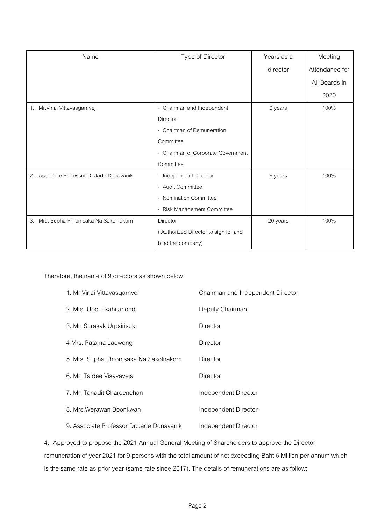| Name                                      | Type of Director                     | Years as a | Meeting        |
|-------------------------------------------|--------------------------------------|------------|----------------|
|                                           |                                      | director   | Attendance for |
|                                           |                                      |            | All Boards in  |
|                                           |                                      |            | 2020           |
| 1. Mr. Vinai Vittavasgarnvej              | - Chairman and Independent           | 9 years    | 100%           |
|                                           | Director                             |            |                |
|                                           | - Chairman of Remuneration           |            |                |
|                                           | Committee                            |            |                |
|                                           | - Chairman of Corporate Government   |            |                |
|                                           | Committee                            |            |                |
| 2. Associate Professor Dr. Jade Donavanik | - Independent Director               | 6 years    | 100%           |
|                                           | - Audit Committee                    |            |                |
|                                           | - Nomination Committee               |            |                |
|                                           | - Risk Management Committee          |            |                |
| Mrs. Supha Phromsaka Na Sakolnakorn<br>3. | Director                             | 20 years   | 100%           |
|                                           | (Authorized Director to sign for and |            |                |
|                                           | bind the company)                    |            |                |

Therefore, the name of 9 directors as shown below;

| 1. Mr. Vinai Vittavasgarnvej              | Chairman and Independent Director |
|-------------------------------------------|-----------------------------------|
| 2. Mrs. Ubol Ekahitanond                  | Deputy Chairman                   |
| 3. Mr. Surasak Urpsirisuk                 | Director                          |
| 4 Mrs. Patama Laowong                     | Director                          |
| 5. Mrs. Supha Phromsaka Na Sakolnakorn    | Director                          |
| 6. Mr. Taidee Visavaveja                  | Director                          |
| 7. Mr. Tanadit Charoenchan                | Independent Director              |
| 8. Mrs. Werawan Boonkwan                  | Independent Director              |
| 9. Associate Professor Dr. Jade Donavanik | Independent Director              |

4. Approved to propose the 2021 Annual General Meeting of Shareholders to approve the Director remuneration of year 2021 for 9 persons with the total amount of not exceeding Baht 6 Million per annum which is the same rate as prior year (same rate since 2017). The details of remunerations are as follow;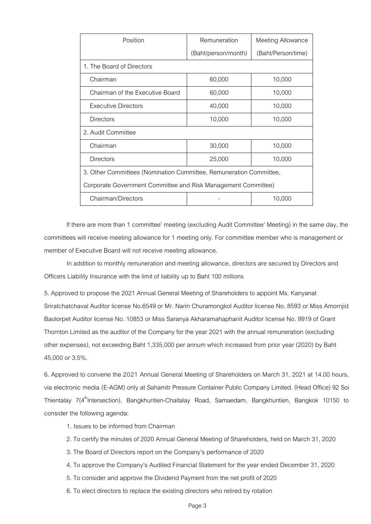| Position                                                           | Remuneration        | <b>Meeting Allowance</b> |  |  |
|--------------------------------------------------------------------|---------------------|--------------------------|--|--|
|                                                                    | (Baht/person/month) | (Baht/Person/time)       |  |  |
| 1. The Board of Directors                                          |                     |                          |  |  |
| Chairman                                                           | 60,000              | 10,000                   |  |  |
| Chairman of the Executive Board                                    | 60,000              | 10,000                   |  |  |
| <b>Executive Directors</b>                                         | 40,000              | 10,000                   |  |  |
| Directors                                                          | 10,000              | 10,000                   |  |  |
| 2. Audit Committee                                                 |                     |                          |  |  |
| Chairman                                                           | 30,000              | 10,000                   |  |  |
| Directors                                                          | 25,000              | 10,000                   |  |  |
| 3. Other Committees (Nomination Committee, Remuneration Committee, |                     |                          |  |  |
| Corporate Government Committee and Risk Management Committee)      |                     |                          |  |  |
| Chairman/Directors                                                 |                     | 10,000                   |  |  |

If there are more than 1 committee' meeting (excluding Audit Committee' Meeting) in the same day, the committees will receive meeting allowance for 1 meeting only. For committee member who is management or member of Executive Board will not receive meeting allowance.

In addition to monthly remuneration and meeting allowance, directors are secured by Directors and Officers Liability Insurance with the limit of liability up to Baht 100 millions

5. Approved to propose the 2021 Annual General Meeting of Shareholders to appoint Ms. Kanyanat Sriratchatchaval Auditor license No.6549 or Mr. Narin Churamongkol Auditor license No. 8593 or Miss Amornjid Baolorpet Auditor license No. 10853 or Miss Saranya Akharamahaphanit Auditor license No. 9919 of Grant Thornton Limited as the auditor of the Company for the year 2021 with the annual remuneration (excluding other expenses), not exceeding Baht 1,335,000 per annum which increased from prior year (2020) by Baht 45,000 or 3.5%.

6. Approved to convene the 2021 Annual General Meeting of Shareholders on March 31, 2021 at 14.00 hours, via electronic media (E-AGM) only at Sahamitr Pressure Container Public Company Limited. (Head Office) 92 Soi Thientalay 7(4<sup>th</sup>Intersection), Bangkhuntien-Chaitalay Road, Samaedam, Bangkhuntien, Bangkok 10150 to consider the following agenda:

- 1. Issues to be informed from Chairman
- 2. To certify the minutes of 2020 Annual General Meeting of Shareholders, held on March 31, 2020
- 3. The Board of Directors report on the Company's performance of 2020
- 4. To approve the Company's Audited Financial Statement for the year ended December 31, 2020
- 5. To consider and approve the Dividend Payment from the net profit of 2020
- 6. To elect directors to replace the existing directors who retired by rotation